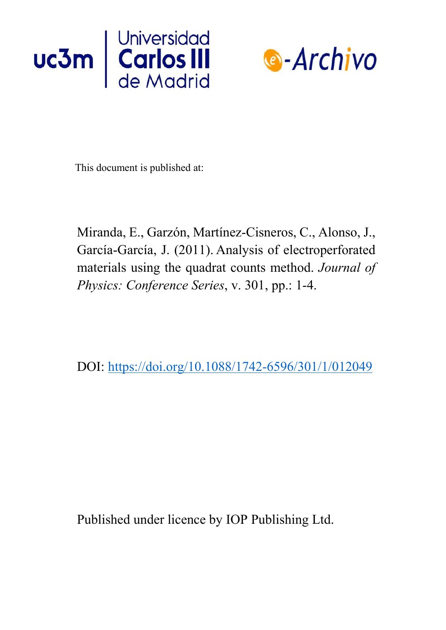



This document is published at:

Miranda, E., Garzón, Martínez-Cisneros, C., Alonso, J., García-García, J. (2011). Analysis of electroperforated materials using the quadrat counts method. *Journal of Physics: Conference Series*, v. 301, pp.: 1-4.

DOI:<https://doi.org/10.1088/1742-6596/301/1/012049>

Published under licence by IOP Publishing Ltd.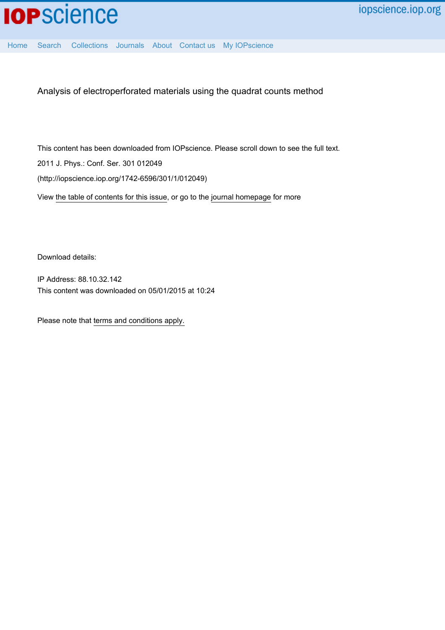

[Home](http://iopscience.iop.org/) [Search](http://iopscience.iop.org/search) [Collections](http://iopscience.iop.org/collections) [Journals](http://iopscience.iop.org/journals) [About](http://iopscience.iop.org/page/aboutioppublishing) [Contact us](http://iopscience.iop.org/contact) [My IOPscience](http://iopscience.iop.org/myiopscience)

Analysis of electroperforated materials using the quadrat counts method

This content has been downloaded from IOPscience. Please scroll down to see the full text. View [the table of contents for this issue](http://iopscience.iop.org/1742-6596/301/1), or go to the [journal homepage](http://iopscience.iop.org/1742-6596) for more 2011 J. Phys.: Conf. Ser. 301 012049 (http://iopscience.iop.org/1742-6596/301/1/012049)

Download details:

IP Address: 88.10.32.142 This content was downloaded on 05/01/2015 at 10:24

Please note that [terms and conditions apply.](iopscience.iop.org/page/terms)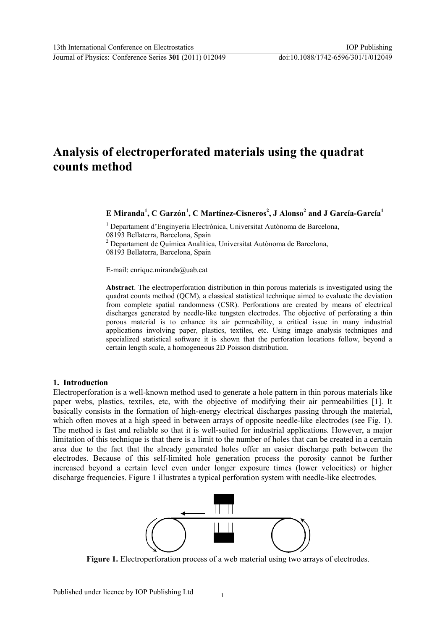# **Analysis of electroperforated materials using the quadrat counts method**

 $\bf{E}$  Miranda<sup>1</sup>, C Garzón<sup>1</sup>, C Martínez-Cisneros<sup>2</sup>, J Alonso<sup>2</sup> and J García-García<sup>1</sup>

<sup>1</sup> Departament d'Enginyeria Electrònica, Universitat Autònoma de Barcelona, 08193 Bellaterra, Barcelona, Spain <sup>2</sup> Departament de Química Analítica, Universitat Autònoma de Barcelona, 08193 Bellaterra, Barcelona, Spain

E-mail: enrique.miranda@uab.cat

**Abstract**. The electroperforation distribution in thin porous materials is investigated using the quadrat counts method (QCM), a classical statistical technique aimed to evaluate the deviation from complete spatial randomness (CSR). Perforations are created by means of electrical discharges generated by needle-like tungsten electrodes. The objective of perforating a thin porous material is to enhance its air permeability, a critical issue in many industrial applications involving paper, plastics, textiles, etc. Using image analysis techniques and specialized statistical software it is shown that the perforation locations follow, beyond a certain length scale, a homogeneous 2D Poisson distribution.

### **1. Introduction**

Electroperforation is a well-known method used to generate a hole pattern in thin porous materials like paper webs, plastics, textiles, etc, with the objective of modifying their air permeabilities [1]. It basically consists in the formation of high-energy electrical discharges passing through the material, which often moves at a high speed in between arrays of opposite needle-like electrodes (see Fig. 1). The method is fast and reliable so that it is well-suited for industrial applications. However, a major limitation of this technique is that there is a limit to the number of holes that can be created in a certain area due to the fact that the already generated holes offer an easier discharge path between the electrodes. Because of this self-limited hole generation process the porosity cannot be further increased beyond a certain level even under longer exposure times (lower velocities) or higher discharge frequencies. Figure 1 illustrates a typical perforation system with needle-like electrodes.



**Figure 1.** Electroperforation process of a web material using two arrays of electrodes.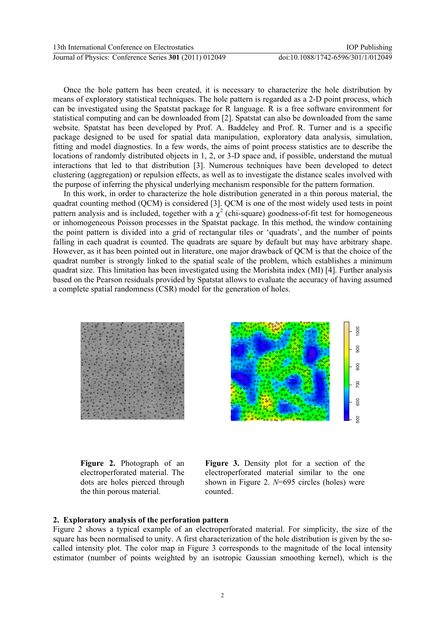Journal of Physics: Conference Series **301** (2011) 012049 doi:10.1088/1742-6596/301/1/012049

Once the hole pattern has been created, it is necessary to characterize the hole distribution by means of exploratory statistical techniques. The hole pattern is regarded as a 2-D point process, which can be investigated using the Spatstat package for R language. R is a free software environment for statistical computing and can be downloaded from [2]. Spatstat can also be downloaded from the same website. Spatstat has been developed by Prof. A. Baddeley and Prof. R. Turner and is a specific package designed to be used for spatial data manipulation, exploratory data analysis, simulation, fitting and model diagnostics. In a few words, the aims of point process statistics are to describe the locations of randomly distributed objects in 1, 2, or 3-D space and, if possible, understand the mutual interactions that led to that distribution [3]. Numerous techniques have been developed to detect clustering (aggregation) or repulsion effects, as well as to investigate the distance scales involved with the purpose of inferring the physical underlying mechanism responsible for the pattern formation.

In this work, in order to characterize the hole distribution generated in a thin porous material, the quadrat counting method (QCM) is considered [3]. QCM is one of the most widely used tests in point pattern analysis and is included, together with a  $\chi^2$  (chi-square) goodness-of-fit test for homogeneous or inhomogeneous Poisson processes in the Spatstat package. In this method, the window containing the point pattern is divided into a grid of rectangular tiles or 'quadrats', and the number of points falling in each quadrat is counted. The quadrats are square by default but may have arbitrary shape. However, as it has been pointed out in literature, one major drawback of QCM is that the choice of the quadrat number is strongly linked to the spatial scale of the problem, which establishes a minimum quadrat size. This limitation has been investigated using the Morishita index (MI) [4]. Further analysis based on the Pearson residuals provided by Spatstat allows to evaluate the accuracy of having assumed a complete spatial randomness (CSR) model for the generation of holes.





**Figure 2.** Photograph of an electroperforated material. The dots are holes pierced through the thin porous material.

**Figure 3.** Density plot for a section of the electroperforated material similar to the one shown in Figure 2. *N*=695 circles (holes) were counted.

#### **2. Exploratory analysis of the perforation pattern**

Figure 2 shows a typical example of an electroperforated material. For simplicity, the size of the square has been normalised to unity. A first characterization of the hole distribution is given by the socalled intensity plot. The color map in Figure 3 corresponds to the magnitude of the local intensity estimator (number of points weighted by an isotropic Gaussian smoothing kernel), which is the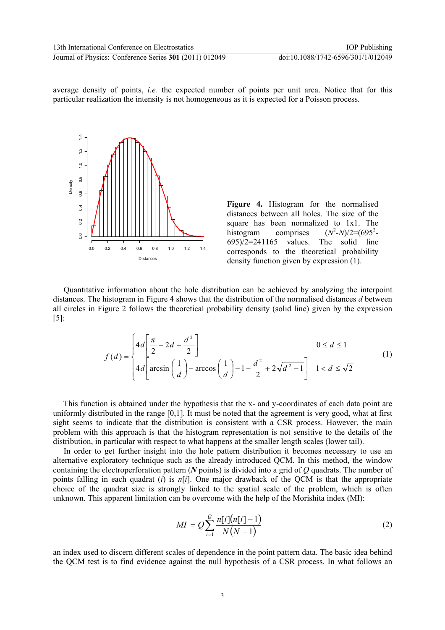average density of points, *i.e.* the expected number of points per unit area. Notice that for this particular realization the intensity is not homogeneous as it is expected for a Poisson process.



**Figure 4.** Histogram for the normalised distances between all holes. The size of the square has been normalized to 1x1. The histogram comprises  $-N/2 = (695^2 695$  $/2$ =241165 values. The solid line corresponds to the theoretical probability density function given by expression (1).

Quantitative information about the hole distribution can be achieved by analyzing the interpoint distances. The histogram in Figure 4 shows that the distribution of the normalised distances *d* between all circles in Figure 2 follows the theoretical probability density (solid line) given by the expression  $[5]$ :

$$
f(d) = \begin{cases} 4d\left[\frac{\pi}{2} - 2d + \frac{d^2}{2}\right] & 0 \le d \le 1\\ 4d\left[\arcsin\left(\frac{1}{d}\right) - \arccos\left(\frac{1}{d}\right) - 1 - \frac{d^2}{2} + 2\sqrt{d^2 - 1}\right] & 1 < d \le \sqrt{2} \end{cases}
$$
(1)

 This function is obtained under the hypothesis that the x- and y-coordinates of each data point are uniformly distributed in the range [0,1]. It must be noted that the agreement is very good, what at first sight seems to indicate that the distribution is consistent with a CSR process. However, the main problem with this approach is that the histogram representation is not sensitive to the details of the distribution, in particular with respect to what happens at the smaller length scales (lower tail).

In order to get further insight into the hole pattern distribution it becomes necessary to use an alternative exploratory technique such as the already introduced QCM. In this method, the window containing the electroperforation pattern (*N* points) is divided into a grid of *Q* quadrats. The number of points falling in each quadrat (*i*) is *n*[*i*]. One major drawback of the QCM is that the appropriate choice of the quadrat size is strongly linked to the spatial scale of the problem, which is often unknown. This apparent limitation can be overcome with the help of the Morishita index (MI):

$$
MI = Q \sum_{i=1}^{Q} \frac{n[i] (n[i]-1)}{N(N-1)}
$$
(2)

an index used to discern different scales of dependence in the point pattern data. The basic idea behind the QCM test is to find evidence against the null hypothesis of a CSR process. In what follows an